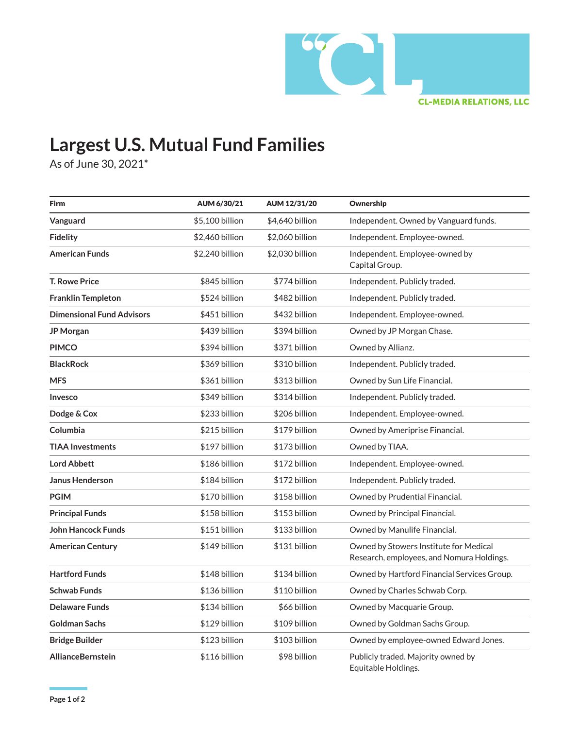

## **Largest U.S. Mutual Fund Families**

As of June 30, 2021\*

| Firm                             | AUM 6/30/21     | AUM 12/31/20    | Ownership                                                                           |
|----------------------------------|-----------------|-----------------|-------------------------------------------------------------------------------------|
| Vanguard                         | \$5,100 billion | \$4,640 billion | Independent. Owned by Vanguard funds.                                               |
| Fidelity                         | \$2,460 billion | \$2,060 billion | Independent. Employee-owned.                                                        |
| <b>American Funds</b>            | \$2,240 billion | \$2,030 billion | Independent. Employee-owned by<br>Capital Group.                                    |
| <b>T. Rowe Price</b>             | \$845 billion   | \$774 billion   | Independent. Publicly traded.                                                       |
| Franklin Templeton               | \$524 billion   | \$482 billion   | Independent. Publicly traded.                                                       |
| <b>Dimensional Fund Advisors</b> | \$451 billion   | \$432 billion   | Independent. Employee-owned.                                                        |
| JP Morgan                        | \$439 billion   | \$394 billion   | Owned by JP Morgan Chase.                                                           |
| <b>PIMCO</b>                     | \$394 billion   | \$371 billion   | Owned by Allianz.                                                                   |
| <b>BlackRock</b>                 | \$369 billion   | \$310 billion   | Independent. Publicly traded.                                                       |
| <b>MFS</b>                       | \$361 billion   | \$313 billion   | Owned by Sun Life Financial.                                                        |
| Invesco                          | \$349 billion   | \$314 billion   | Independent. Publicly traded.                                                       |
| Dodge & Cox                      | \$233 billion   | \$206 billion   | Independent. Employee-owned.                                                        |
| Columbia                         | \$215 billion   | \$179 billion   | Owned by Ameriprise Financial.                                                      |
| <b>TIAA Investments</b>          | \$197 billion   | \$173 billion   | Owned by TIAA.                                                                      |
| <b>Lord Abbett</b>               | \$186 billion   | \$172 billion   | Independent. Employee-owned.                                                        |
| <b>Janus Henderson</b>           | \$184 billion   | \$172 billion   | Independent. Publicly traded.                                                       |
| <b>PGIM</b>                      | \$170 billion   | \$158 billion   | Owned by Prudential Financial.                                                      |
| <b>Principal Funds</b>           | \$158 billion   | \$153 billion   | Owned by Principal Financial.                                                       |
| <b>John Hancock Funds</b>        | \$151 billion   | \$133 billion   | Owned by Manulife Financial.                                                        |
| <b>American Century</b>          | \$149 billion   | \$131 billion   | Owned by Stowers Institute for Medical<br>Research, employees, and Nomura Holdings. |
| <b>Hartford Funds</b>            | \$148 billion   | \$134 billion   | Owned by Hartford Financial Services Group.                                         |
| <b>Schwab Funds</b>              | \$136 billion   | \$110 billion   | Owned by Charles Schwab Corp.                                                       |
| <b>Delaware Funds</b>            | \$134 billion   | \$66 billion    | Owned by Macquarie Group.                                                           |
| Goldman Sachs                    | \$129 billion   | \$109 billion   | Owned by Goldman Sachs Group.                                                       |
| <b>Bridge Builder</b>            | \$123 billion   | \$103 billion   | Owned by employee-owned Edward Jones.                                               |
| <b>AllianceBernstein</b>         | \$116 billion   | \$98 billion    | Publicly traded. Majority owned by<br>Equitable Holdings.                           |